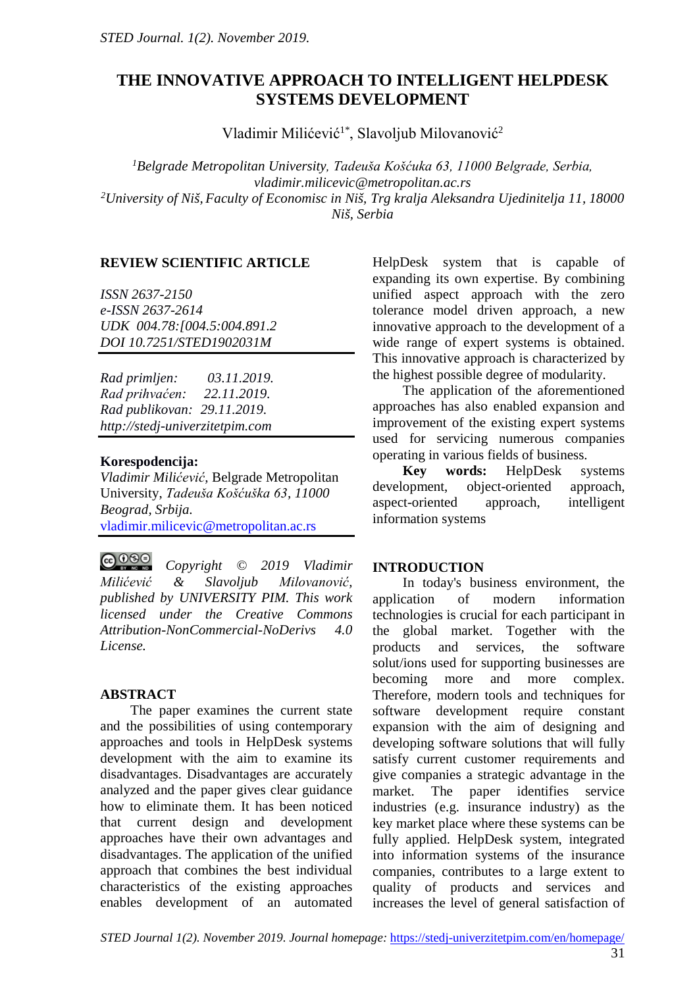# **THE INNOVATIVE APPROACH TO INTELLIGENT HELPDESK SYSTEMS DEVELOPMENT**

Vladimir Milićević<sup>1\*</sup>, Slavoljub Milovanović<sup>2</sup>

*1 Belgrade Metropolitan University, Tadeuša Košćuka 63, 11000 Belgrade, Serbia, vladimir.milicevic@metropolitan.ac.rs 2 University of Niš, Faculty of Economisc in Niš, Trg kralja Aleksandra Ujedinitelja 11, 18000 Niš, Serbia*

# **REVIEW SCIENTIFIC ARTICLE**

*ISSN 2637-2150 e-ISSN 2637-2614 UDK 004.78:[004.5:004.891.2 DOI 10.7251/STED1902031M*

*Rad primljen: 03.11.2019. Rad prihvaćen: 22.11.2019. Rad publikovan: 29.11.2019. http://stedj-univerzitetpim.com*

# **Korespodencija:**

*Vladimir Milićević,* Belgrade Metropolitan University, *Tadeuša Košćuška 63, 11000 Beograd, Srbija.* [vladimir.milicevic@metropolitan.ac.rs](mailto:vladimir.milicevic@metropolitan.ac.rs) 

 $@@@@$ *Copyright © 2019 Vladimir Milićević & Slavoljub Milovanović, published by UNIVERSITY PIM. This work licensed under the Creative Commons Attribution-NonCommercial-NoDerivs 4.0 License.* 

# **ABSTRACT**

The paper examines the current state and the possibilities of using contemporary approaches and tools in HelpDesk systems development with the aim to examine its disadvantages. Disadvantages are accurately analyzed and the paper gives clear guidance how to eliminate them. It has been noticed that current design and development approaches have their own advantages and disadvantages. The application of the unified approach that combines the best individual characteristics of the existing approaches enables development of an automated

HelpDesk system that is capable of expanding its own expertise. By combining unified aspect approach with the zero tolerance model driven approach, a new innovative approach to the development of a wide range of expert systems is obtained. This innovative approach is characterized by the highest possible degree of modularity.

The application of the aforementioned approaches has also enabled expansion and improvement of the existing expert systems used for servicing numerous companies operating in various fields of business.<br> **Key words:** HelpDesk sy

**Key words:** HelpDesk systems development, object-oriented approach, aspect-oriented approach, intelligent information systems

# **INTRODUCTION**

In today's business environment, the application of modern information technologies is crucial for each participant in the global market. Together with the products and services, the software solut/ions used for supporting businesses are becoming more and more complex. Therefore, modern tools and techniques for software development require constant expansion with the aim of designing and developing software solutions that will fully satisfy current customer requirements and give companies a strategic advantage in the market. The paper identifies service industries (e.g. insurance industry) as the key market place where these systems can be fully applied. HelpDesk system, integrated into information systems of the insurance companies, contributes to a large extent to quality of products and services and increases the level of general satisfaction of

*STED Journal 1(2). November 2019. Journal homepage:* <https://stedj-univerzitetpim.com/en/homepage/>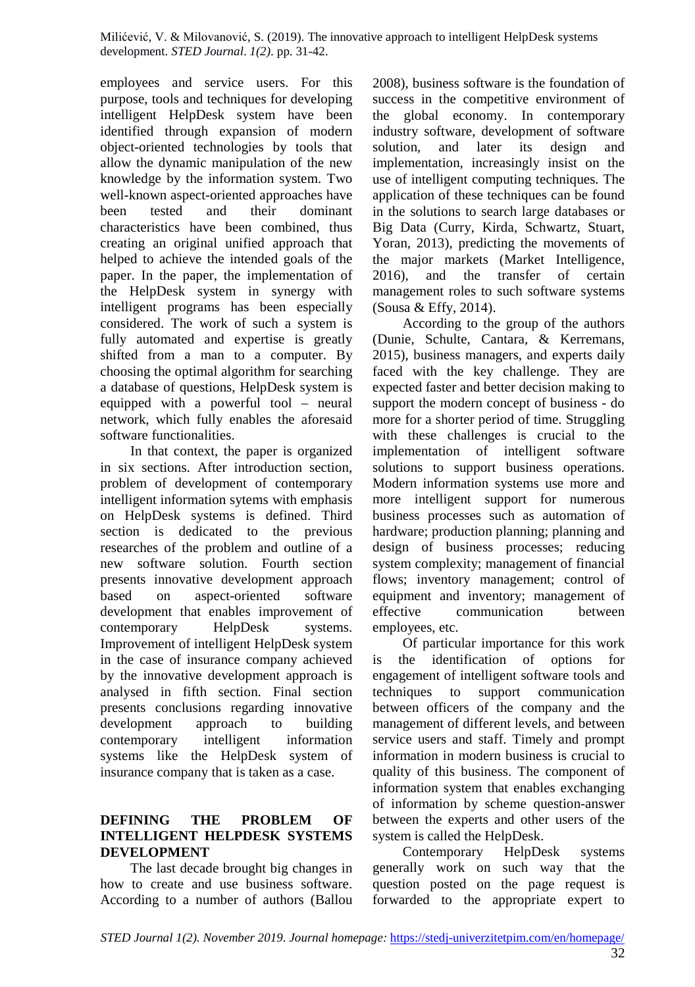employees and service users. For this purpose, tools and techniques for developing intelligent HelpDesk system have been identified through expansion of modern object-oriented technologies by tools that allow the dynamic manipulation of the new knowledge by the information system. Two well-known aspect-oriented approaches have been tested and their dominant characteristics have been combined, thus creating an original unified approach that helped to achieve the intended goals of the paper. In the paper, the implementation of the HelpDesk system in synergy with intelligent programs has been especially considered. The work of such a system is fully automated and expertise is greatly shifted from a man to a computer. By choosing the optimal algorithm for searching a database of questions, HelpDesk system is equipped with a powerful tool – neural network, which fully enables the aforesaid software functionalities.

In that context, the paper is organized in six sections. After introduction section, problem of development of contemporary intelligent information sytems with emphasis on HelpDesk systems is defined. Third section is dedicated to the previous researches of the problem and outline of a new software solution. Fourth section presents innovative development approach based on aspect-oriented software development that enables improvement of contemporary HelpDesk systems. Improvement of intelligent HelpDesk system in the case of insurance company achieved by the innovative development approach is analysed in fifth section. Final section presents conclusions regarding innovative development approach to building contemporary intelligent information systems like the HelpDesk system of insurance company that is taken as a case.

### **DEFINING THE PROBLEM OF INTELLIGENT HELPDESK SYSTEMS DEVELOPMENT**

The last decade brought big changes in how to create and use business software. According to a number of authors (Ballou

2008), business software is the foundation of success in the competitive environment of the global economy. In contemporary industry software, development of software solution, and later its design and implementation, increasingly insist on the use of intelligent computing techniques. The application of these techniques can be found in the solutions to search large databases or Big Data (Curry, Kirda, Schwartz, Stuart, Yoran, 2013), predicting the movements of the major markets (Market Intelligence, 2016), and the transfer of certain management roles to such software systems (Sousa & Effy, 2014).

According to the group of the authors (Dunie, Schulte, Cantara, & Kerremans, 2015), business managers, and experts daily faced with the key challenge. They are expected faster and better decision making to support the modern concept of business - do more for a shorter period of time. Struggling with these challenges is crucial to the implementation of intelligent software solutions to support business operations. Modern information systems use more and more intelligent support for numerous business processes such as automation of hardware; production planning; planning and design of business processes; reducing system complexity; management of financial flows; inventory management; control of equipment and inventory; management of effective communication between employees, etc.

Of particular importance for this work is the identification of options for engagement of intelligent software tools and techniques to support communication between officers of the company and the management of different levels, and between service users and staff. Timely and prompt information in modern business is crucial to quality of this business. The component of information system that enables exchanging of information by scheme question-answer between the experts and other users of the system is called the HelpDesk.

Contemporary HelpDesk systems generally work on such way that the question posted on the page request is forwarded to the appropriate expert to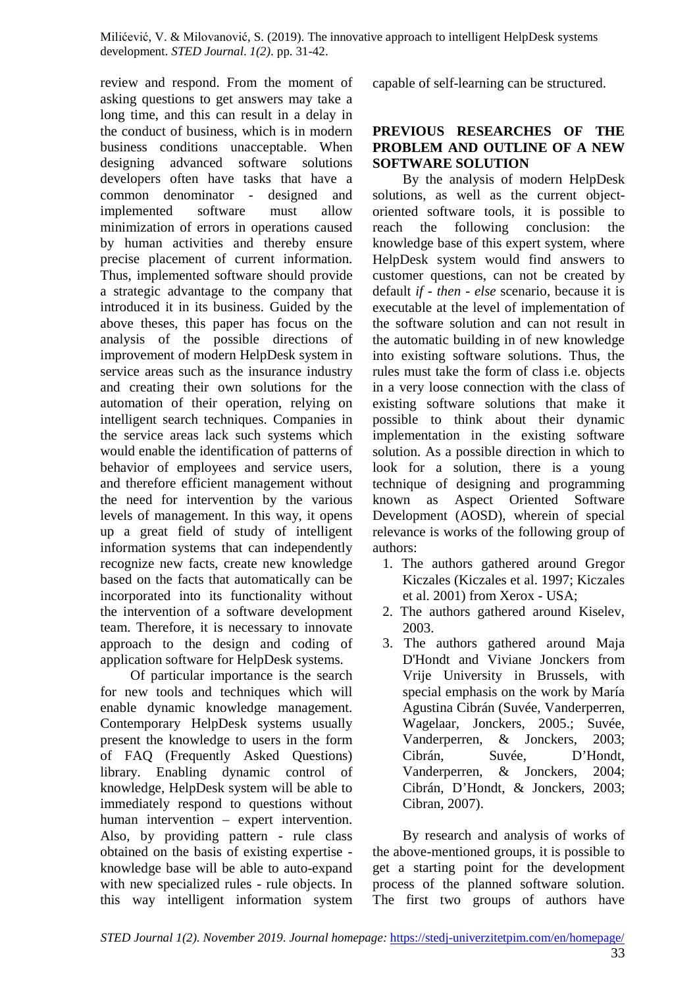review and respond. From the moment of asking questions to get answers may take a long time, and this can result in a delay in the conduct of business, which is in modern business conditions unacceptable. When designing advanced software solutions developers often have tasks that have a common denominator - designed and implemented software must allow minimization of errors in operations caused by human activities and thereby ensure precise placement of current information. Thus, implemented software should provide a strategic advantage to the company that introduced it in its business. Guided by the above theses, this paper has focus on the analysis of the possible directions of improvement of modern HelpDesk system in service areas such as the insurance industry and creating their own solutions for the automation of their operation, relying on intelligent search techniques. Companies in the service areas lack such systems which would enable the identification of patterns of behavior of employees and service users, and therefore efficient management without the need for intervention by the various levels of management. In this way, it opens up a great field of study of intelligent information systems that can independently recognize new facts, create new knowledge based on the facts that automatically can be incorporated into its functionality without the intervention of a software development team. Therefore, it is necessary to innovate approach to the design and coding of application software for HelpDesk systems.

Of particular importance is the search for new tools and techniques which will enable dynamic knowledge management. Contemporary HelpDesk systems usually present the knowledge to users in the form of FAQ (Frequently Asked Questions) library. Enabling dynamic control of knowledge, HelpDesk system will be able to immediately respond to questions without human intervention – expert intervention. Also, by providing pattern - rule class obtained on the basis of existing expertise knowledge base will be able to auto-expand with new specialized rules - rule objects. In this way intelligent information system

capable of self-learning can be structured.

### **PREVIOUS RESEARCHES OF THE PROBLEM AND OUTLINE OF A NEW SOFTWARE SOLUTION**

By the analysis of modern HelpDesk solutions, as well as the current objectoriented software tools, it is possible to reach the following conclusion: the knowledge base of this expert system, where HelpDesk system would find answers to customer questions, can not be created by default *if - then - else* scenario, because it is executable at the level of implementation of the software solution and can not result in the automatic building in of new knowledge into existing software solutions. Thus, the rules must take the form of class i.e. objects in a very loose connection with the class of existing software solutions that make it possible to think about their dynamic implementation in the existing software solution. As a possible direction in which to look for a solution, there is a young technique of designing and programming known as Aspect Oriented Software Development (AOSD), wherein of special relevance is works of the following group of authors:

- 1. The authors gathered around Gregor Kiczales (Kiczales et al. 1997; Kiczales et al. 2001) from Xerox - USA;
- 2. The authors gathered around Kiselev, 2003.
- 3. The authors gathered around Maja D'Hondt and Viviane Jonckers from Vrije University in Brussels, with special emphasis on the work by María Agustina Cibrán (Suvée, Vanderperren, Wagelaar, Jonckers, 2005.; Suvée, Vanderperren, & Jonckers, 2003; Cibrán, Suvée, D'Hondt, Vanderperren, & Jonckers, 2004; Cibrán, D'Hondt, & Jonckers, 2003; Cibran, 2007).

By research and analysis of works of the above-mentioned groups, it is possible to get a starting point for the development process of the planned software solution. The first two groups of authors have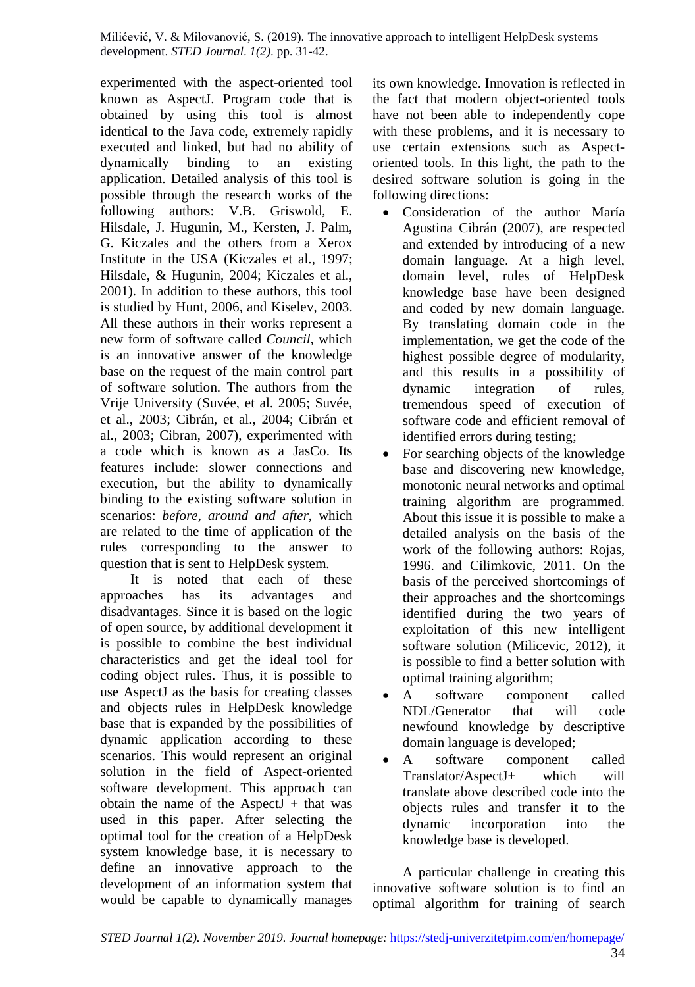experimented with the aspect-oriented tool known as AspectJ. Program code that is obtained by using this tool is almost identical to the Java code, extremely rapidly executed and linked, but had no ability of dynamically binding to an existing application. Detailed analysis of this tool is possible through the research works of the following authors: V.B. Griswold, E. Hilsdale, J. Hugunin, M., Kersten, J. Palm, G. Kiczales and the others from a Xerox Institute in the USA (Kiczales et al., 1997; Hilsdale, & Hugunin, 2004; Kiczales et al., 2001). In addition to these authors, this tool is studied by Hunt, 2006, and Kiselev, 2003. All these authors in their works represent a new form of software called *Council*, which is an innovative answer of the knowledge base on the request of the main control part of software solution. The authors from the Vrije University (Suvée, et al. 2005; Suvée, et al., 2003; Cibrán, et al., 2004; Cibrán et al., 2003; Cibran, 2007), experimented with a code which is known as a JasCo. Its features include: slower connections and execution, but the ability to dynamically binding to the existing software solution in scenarios: *before, around and after*, which are related to the time of application of the rules corresponding to the answer to question that is sent to HelpDesk system.

It is noted that each of these approaches has its advantages and disadvantages. Since it is based on the logic of open source, by additional development it is possible to combine the best individual characteristics and get the ideal tool for coding object rules. Thus, it is possible to use AspectJ as the basis for creating classes and objects rules in HelpDesk knowledge base that is expanded by the possibilities of dynamic application according to these scenarios. This would represent an original solution in the field of Aspect-oriented software development. This approach can obtain the name of the AspectJ  $+$  that was used in this paper. After selecting the optimal tool for the creation of a HelpDesk system knowledge base, it is necessary to define an innovative approach to the development of an information system that would be capable to dynamically manages

its own knowledge. Innovation is reflected in the fact that modern object-oriented tools have not been able to independently cope with these problems, and it is necessary to use certain extensions such as Aspectoriented tools. In this light, the path to the desired software solution is going in the following directions:

- Consideration of the author María Agustina Cibrán (2007), are respected and extended by introducing of a new domain language. At a high level, domain level, rules of HelpDesk knowledge base have been designed and coded by new domain language. By translating domain code in the implementation, we get the code of the highest possible degree of modularity, and this results in a possibility of dynamic integration of rules, tremendous speed of execution of software code and efficient removal of identified errors during testing;
- For searching objects of the knowledge base and discovering new knowledge, monotonic neural networks and optimal training algorithm are programmed. About this issue it is possible to make a detailed analysis on the basis of the work of the following authors: Rojas, 1996. and Cilimkovic, 2011. On the basis of the perceived shortcomings of their approaches and the shortcomings identified during the two years of exploitation of this new intelligent software solution (Milicevic, 2012), it is possible to find a better solution with optimal training algorithm;
- A software component called NDL/Generator that will code newfound knowledge by descriptive domain language is developed;
- A software component called Translator/AspectJ+ which will translate above described code into the objects rules and transfer it to the dynamic incorporation into the knowledge base is developed.

A particular challenge in creating this innovative software solution is to find an optimal algorithm for training of search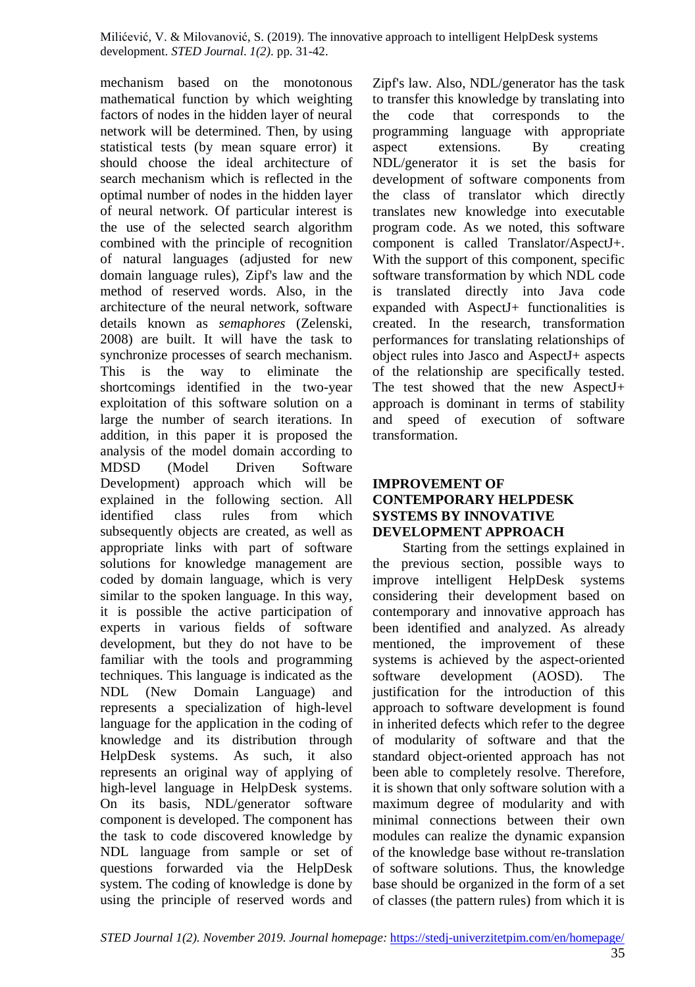mechanism based on the monotonous mathematical function by which weighting factors of nodes in the hidden layer of neural network will be determined. Then, by using statistical tests (by mean square error) it should choose the ideal architecture of search mechanism which is reflected in the optimal number of nodes in the hidden layer of neural network. Of particular interest is the use of the selected search algorithm combined with the principle of recognition of natural languages (adjusted for new domain language rules), Zipf's law and the method of reserved words. Also, in the architecture of the neural network, software details known as *semaphores* (Zelenski, 2008) are built. It will have the task to synchronize processes of search mechanism. This is the way to eliminate the shortcomings identified in the two-year exploitation of this software solution on a large the number of search iterations. In addition, in this paper it is proposed the analysis of the model domain according to MDSD (Model Driven Software Development) approach which will be explained in the following section. All identified class rules from which subsequently objects are created, as well as appropriate links with part of software solutions for knowledge management are coded by domain language, which is very similar to the spoken language. In this way, it is possible the active participation of experts in various fields of software development, but they do not have to be familiar with the tools and programming techniques. This language is indicated as the NDL (New Domain Language) and represents a specialization of high-level language for the application in the coding of knowledge and its distribution through HelpDesk systems. As such, it also represents an original way of applying of high-level language in HelpDesk systems. On its basis, NDL/generator software component is developed. The component has the task to code discovered knowledge by NDL language from sample or set of questions forwarded via the HelpDesk system. The coding of knowledge is done by using the principle of reserved words and

Zipf's law. Also, NDL/generator has the task to transfer this knowledge by translating into the code that corresponds to the programming language with appropriate aspect extensions. By creating NDL/generator it is set the basis for development of software components from the class of translator which directly translates new knowledge into executable program code. As we noted, this software component is called Translator/AspectJ+. With the support of this component, specific software transformation by which NDL code is translated directly into Java code expanded with AspectJ+ functionalities is created. In the research, transformation performances for translating relationships of object rules into Jasco and AspectJ+ aspects of the relationship are specifically tested. The test showed that the new AspectJ+ approach is dominant in terms of stability and speed of execution of software transformation.

### **IMPROVEMENT OF CONTEMPORARY HELPDESK SYSTEMS BY INNOVATIVE DEVELOPMENT APPROACH**

Starting from the settings explained in the previous section, possible ways to improve intelligent HelpDesk systems considering their development based on contemporary and innovative approach has been identified and analyzed. As already mentioned, the improvement of these systems is achieved by the aspect-oriented software development (AOSD). The justification for the introduction of this approach to software development is found in inherited defects which refer to the degree of modularity of software and that the standard object-oriented approach has not been able to completely resolve. Therefore, it is shown that only software solution with a maximum degree of modularity and with minimal connections between their own modules can realize the dynamic expansion of the knowledge base without re-translation of software solutions. Thus, the knowledge base should be organized in the form of a set of classes (the pattern rules) from which it is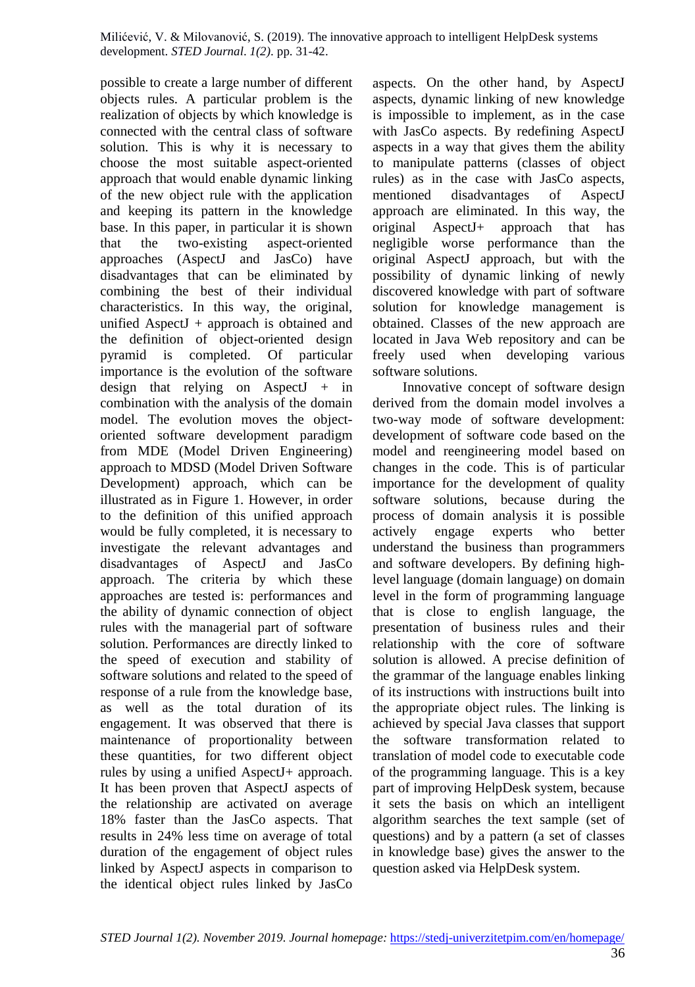possible to create a large number of different objects rules. A particular problem is the realization of objects by which knowledge is connected with the central class of software solution. This is why it is necessary to choose the most suitable aspect-oriented approach that would enable dynamic linking of the new object rule with the application and keeping its pattern in the knowledge base. In this paper, in particular it is shown<br>that the two-existing aspect-oriented that the two-existing aspect-oriented approaches (AspectJ and JasCo) have disadvantages that can be eliminated by combining the best of their individual characteristics. In this way, the original, unified AspectJ + approach is obtained and the definition of object-oriented design pyramid is completed. Of particular importance is the evolution of the software design that relying on AspectJ  $+$  in combination with the analysis of the domain model. The evolution moves the objectoriented software development paradigm from MDE (Model Driven Engineering) approach to MDSD (Model Driven Software Development) approach, which can be illustrated as in Figure 1. However, in order to the definition of this unified approach would be fully completed, it is necessary to investigate the relevant advantages and disadvantages of AspectJ and JasCo approach. The criteria by which these approaches are tested is: performances and the ability of dynamic connection of object rules with the managerial part of software solution. Performances are directly linked to the speed of execution and stability of software solutions and related to the speed of response of a rule from the knowledge base, as well as the total duration of its engagement. It was observed that there is maintenance of proportionality between these quantities, for two different object rules by using a unified AspectJ+ approach. It has been proven that AspectJ aspects of the relationship are activated on average 18% faster than the JasCo aspects. That results in 24% less time on average of total duration of the engagement of object rules linked by AspectJ aspects in comparison to the identical object rules linked by JasCo

aspects. On the other hand, by AspectJ aspects, dynamic linking of new knowledge is impossible to implement, as in the case with JasCo aspects. By redefining AspectJ aspects in a way that gives them the ability to manipulate patterns (classes of object rules) as in the case with JasCo aspects, mentioned disadvantages of AspectJ approach are eliminated. In this way, the original AspectJ+ approach that has negligible worse performance than the original AspectJ approach, but with the possibility of dynamic linking of newly discovered knowledge with part of software solution for knowledge management is obtained. Classes of the new approach are located in Java Web repository and can be freely used when developing various software solutions.

Innovative concept of software design derived from the domain model involves a two-way mode of software development: development of software code based on the model and reengineering model based on changes in the code. This is of particular importance for the development of quality software solutions, because during the process of domain analysis it is possible actively engage experts who better understand the business than programmers and software developers. By defining highlevel language (domain language) on domain level in the form of programming language that is close to english language, the presentation of business rules and their relationship with the core of software solution is allowed. A precise definition of the grammar of the language enables linking of its instructions with instructions built into the appropriate object rules. The linking is achieved by special Java classes that support the software transformation related to translation of model code to executable code of the programming language. This is a key part of improving HelpDesk system, because it sets the basis on which an intelligent algorithm searches the text sample (set of questions) and by a pattern (a set of classes in knowledge base) gives the answer to the question asked via HelpDesk system.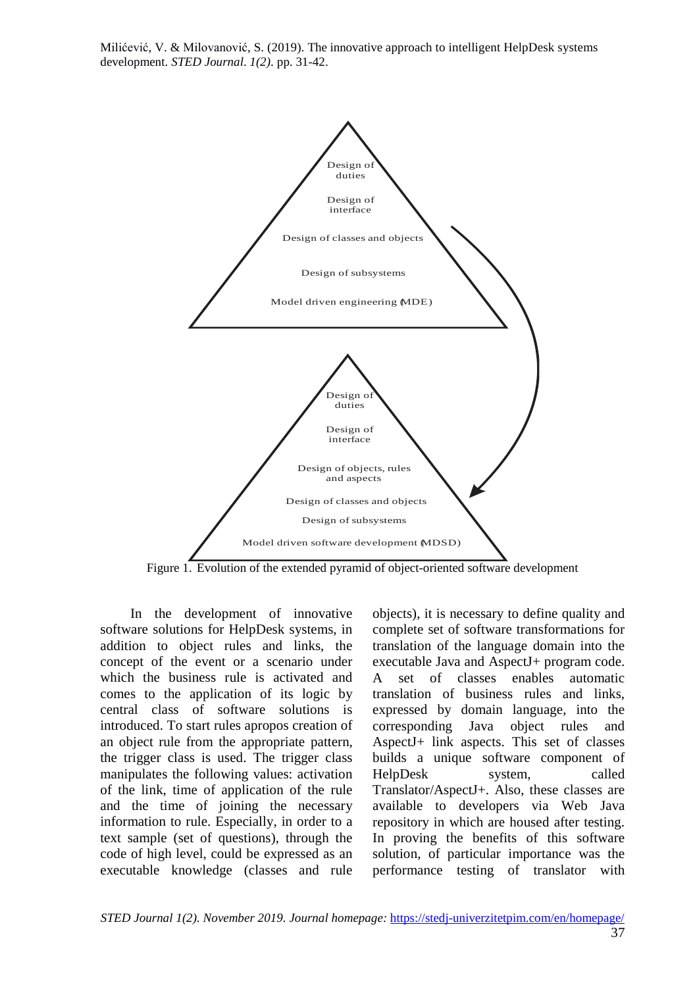

Figure 1. Evolution of the extended pyramid of object-oriented software development

In the development of innovative software solutions for HelpDesk systems, in addition to object rules and links, the concept of the event or a scenario under which the business rule is activated and comes to the application of its logic by central class of software solutions is introduced. To start rules apropos creation of an object rule from the appropriate pattern, the trigger class is used. The trigger class manipulates the following values: activation of the link, time of application of the rule and the time of joining the necessary information to rule. Especially, in order to a text sample (set of questions), through the code of high level, could be expressed as an executable knowledge (classes and rule

objects), it is necessary to define quality and complete set of software transformations for translation of the language domain into the executable Java and AspectJ+ program code. A set of classes enables automatic translation of business rules and links, expressed by domain language, into the corresponding Java object rules and AspectJ+ link aspects. This set of classes builds a unique software component of HelpDesk system, called Translator/AspectJ+. Also, these classes are available to developers via Web Java repository in which are housed after testing. In proving the benefits of this software solution, of particular importance was the performance testing of translator with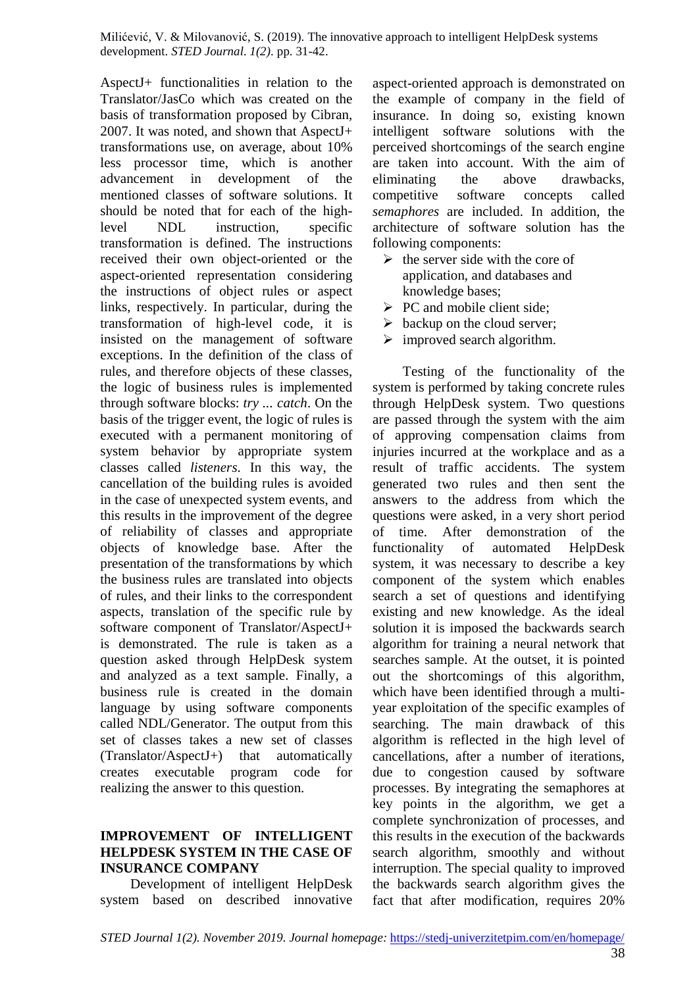AspectJ+ functionalities in relation to the Translator/JasCo which was created on the basis of transformation proposed by Cibran, 2007. It was noted, and shown that AspectJ+ transformations use, on average, about 10% less processor time, which is another advancement in development of the mentioned classes of software solutions. It should be noted that for each of the highlevel NDL instruction, specific transformation is defined. The instructions received their own object-oriented or the aspect-oriented representation considering the instructions of object rules or aspect links, respectively. In particular, during the transformation of high-level code, it is insisted on the management of software exceptions. In the definition of the class of rules, and therefore objects of these classes, the logic of business rules is implemented through software blocks: *try ... catch*. On the basis of the trigger event, the logic of rules is executed with a permanent monitoring of system behavior by appropriate system classes called *listeners*. In this way, the cancellation of the building rules is avoided in the case of unexpected system events, and this results in the improvement of the degree of reliability of classes and appropriate objects of knowledge base. After the presentation of the transformations by which the business rules are translated into objects of rules, and their links to the correspondent aspects, translation of the specific rule by software component of Translator/AspectJ+ is demonstrated. The rule is taken as a question asked through HelpDesk system and analyzed as a text sample. Finally, a business rule is created in the domain language by using software components called NDL/Generator. The output from this set of classes takes a new set of classes (Translator/AspectJ+) that automatically creates executable program code for realizing the answer to this question.

#### **IMPROVEMENT OF INTELLIGENT HELPDESK SYSTEM IN THE CASE OF INSURANCE COMPANY**

Development of intelligent HelpDesk system based on described innovative aspect-oriented approach is demonstrated on the example of company in the field of insurance. In doing so, existing known intelligent software solutions with the perceived shortcomings of the search engine are taken into account. With the aim of eliminating the above drawbacks, competitive software concepts called *semaphores* are included. In addition, the architecture of software solution has the following components:

- $\triangleright$  the server side with the core of application, and databases and knowledge bases;
- $\triangleright$  PC and mobile client side;
- $\triangleright$  backup on the cloud server;
- $\triangleright$  improved search algorithm.

Testing of the functionality of the system is performed by taking concrete rules through HelpDesk system. Two questions are passed through the system with the aim of approving compensation claims from injuries incurred at the workplace and as a result of traffic accidents. The system generated two rules and then sent the answers to the address from which the questions were asked, in a very short period of time. After demonstration of the functionality of automated HelpDesk system, it was necessary to describe a key component of the system which enables search a set of questions and identifying existing and new knowledge. As the ideal solution it is imposed the backwards search algorithm for training a neural network that searches sample. At the outset, it is pointed out the shortcomings of this algorithm, which have been identified through a multiyear exploitation of the specific examples of searching. The main drawback of this algorithm is reflected in the high level of cancellations, after a number of iterations, due to congestion caused by software processes. By integrating the semaphores at key points in the algorithm, we get a complete synchronization of processes, and this results in the execution of the backwards search algorithm, smoothly and without interruption. The special quality to improved the backwards search algorithm gives the fact that after modification, requires 20%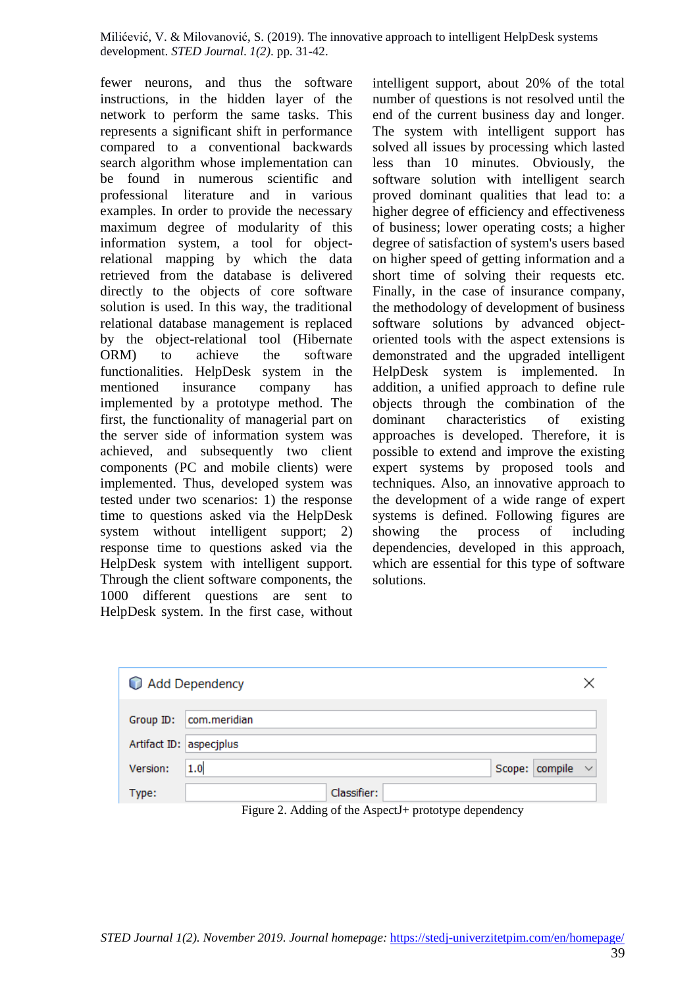fewer neurons, and thus the software instructions, in the hidden layer of the network to perform the same tasks. This represents a significant shift in performance compared to a conventional backwards search algorithm whose implementation can be found in numerous scientific and professional literature and in various examples. In order to provide the necessary maximum degree of modularity of this information system, a tool for objectrelational mapping by which the data retrieved from the database is delivered directly to the objects of core software solution is used. In this way, the traditional relational database management is replaced by the object-relational tool (Hibernate ORM) to achieve the software functionalities. HelpDesk system in the mentioned insurance company has implemented by a prototype method. The first, the functionality of managerial part on the server side of information system was achieved, and subsequently two client components (PC and mobile clients) were implemented. Thus, developed system was tested under two scenarios: 1) the response time to questions asked via the HelpDesk system without intelligent support; 2) response time to questions asked via the HelpDesk system with intelligent support. Through the client software components, the 1000 different questions are sent to HelpDesk system. In the first case, without

intelligent support, about 20% of the total number of questions is not resolved until the end of the current business day and longer. The system with intelligent support has solved all issues by processing which lasted less than 10 minutes. Obviously, the software solution with intelligent search proved dominant qualities that lead to: a higher degree of efficiency and effectiveness of business; lower operating costs; a higher degree of satisfaction of system's users based on higher speed of getting information and a short time of solving their requests etc. Finally, in the case of insurance company, the methodology of development of business software solutions by advanced objectoriented tools with the aspect extensions is demonstrated and the upgraded intelligent HelpDesk system is implemented. In addition, a unified approach to define rule objects through the combination of the dominant characteristics of existing approaches is developed. Therefore, it is possible to extend and improve the existing expert systems by proposed tools and techniques. Also, an innovative approach to the development of a wide range of expert systems is defined. Following figures are showing the process of including dependencies, developed in this approach, which are essential for this type of software solutions.

| Add Dependency          |                              |  |
|-------------------------|------------------------------|--|
| Group ID:               | com.meridian                 |  |
| Artifact ID: aspecjplus |                              |  |
| Version:<br>1.0         | Scope: $\text{compile} \sim$ |  |
| Type:                   | Classifier:                  |  |

Figure 2. Adding of the AspectJ+ prototype dependency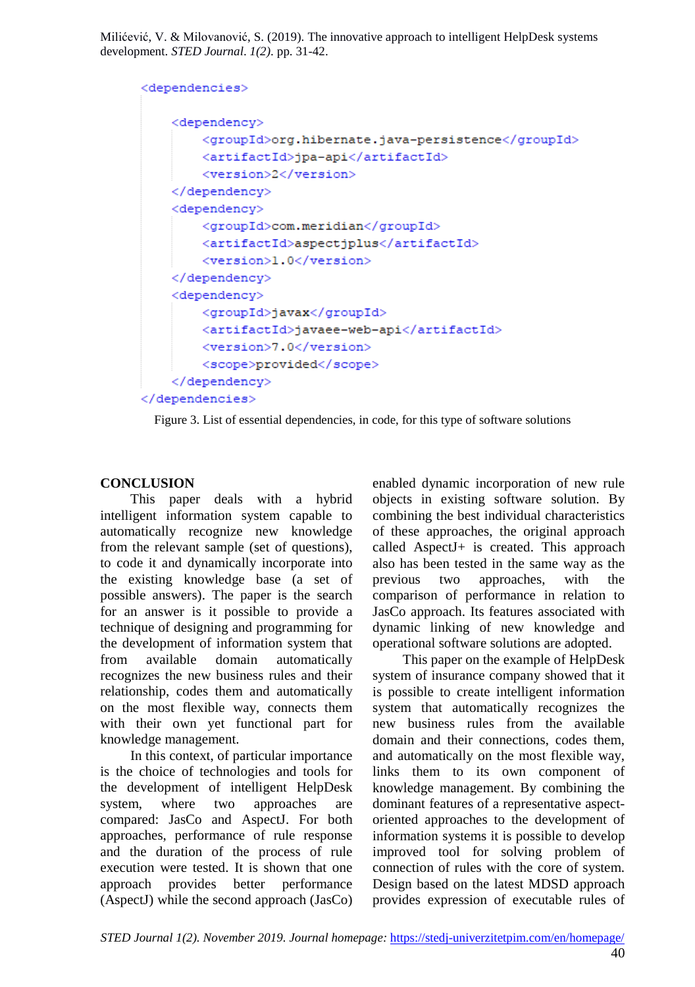```
<dependencies>
    <dependency>
        <groupId>org.hibernate.java-persistence</groupId>
        <artifactId>jpa-api</artifactId>
        <version>2</version>
    </dependency>
    <dependency>
        <groupId>com.meridian</groupId>
        <artifactId>aspectiplus</artifactId>
        <version>1.0</version>
    </dependency>
    <dependency>
        <groupId>javax</groupId>
        <artifactId>javaee-web-api</artifactId>
        <version>7.0</version>
        <scope>provided</scope>
    </dependency>
</dependencies>
```
Figure 3. List of essential dependencies, in code, for this type of software solutions

# **CONCLUSION**

This paper deals with a hybrid intelligent information system capable to automatically recognize new knowledge from the relevant sample (set of questions), to code it and dynamically incorporate into the existing knowledge base (a set of possible answers). The paper is the search for an answer is it possible to provide a technique of designing and programming for the development of information system that from available domain automatically recognizes the new business rules and their relationship, codes them and automatically on the most flexible way, connects them with their own yet functional part for knowledge management.

In this context, of particular importance is the choice of technologies and tools for the development of intelligent HelpDesk system, where two approaches are compared: JasCo and AspectJ. For both approaches, performance of rule response and the duration of the process of rule execution were tested. It is shown that one approach provides better performance (AspectJ) while the second approach (JasCo)

enabled dynamic incorporation of new rule objects in existing software solution. By combining the best individual characteristics of these approaches, the original approach called AspectJ+ is created. This approach also has been tested in the same way as the previous two approaches, with the comparison of performance in relation to JasCo approach. Its features associated with dynamic linking of new knowledge and operational software solutions are adopted.

This paper on the example of HelpDesk system of insurance company showed that it is possible to create intelligent information system that automatically recognizes the new business rules from the available domain and their connections, codes them, and automatically on the most flexible way, links them to its own component of knowledge management. By combining the dominant features of a representative aspectoriented approaches to the development of information systems it is possible to develop improved tool for solving problem of connection of rules with the core of system. Design based on the latest MDSD approach provides expression of executable rules of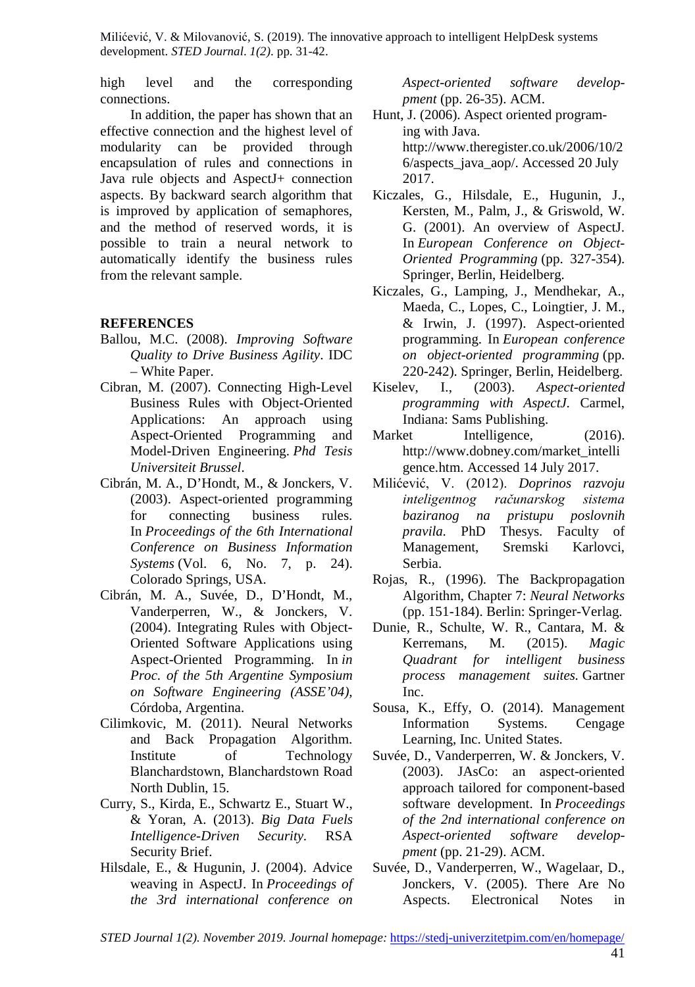high level and the corresponding connections.

In addition, the paper has shown that an effective connection and the highest level of modularity can be provided through encapsulation of rules and connections in Java rule objects and AspectJ+ connection aspects. By backward search algorithm that is improved by application of semaphores, and the method of reserved words, it is possible to train a neural network to automatically identify the business rules from the relevant sample.

#### **REFERENCES**

- Ballou, M.C. (2008). *Improving Software Quality to Drive Business Agility*. IDC – White Paper.
- Cibran, M. (2007). Connecting High-Level Business Rules with Object-Oriented Applications: An approach using Aspect-Oriented Programming and Model-Driven Engineering. *Phd Tesis Universiteit Brussel*.
- Cibrán, M. A., D'Hondt, M., & Jonckers, V. (2003). Aspect-oriented programming for connecting business rules. In *Proceedings of the 6th International Conference on Business Information Systems* (Vol. 6, No. 7, p. 24). Colorado Springs, USA.
- Cibrán, M. A., Suvée, D., D'Hondt, M., Vanderperren, W., & Jonckers, V. (2004). Integrating Rules with Object-Oriented Software Applications using Aspect-Oriented Programming. In *in Proc. of the 5th Argentine Symposium on Software Engineering (ASSE'04),*  Córdoba, Argentina.
- Cilimkovic, M. (2011). Neural Networks and Back Propagation Algorithm. Institute of Technology Blanchardstown, Blanchardstown Road North Dublin, 15.
- Curry, S., Kirda, E., Schwartz E., Stuart W., & Yoran, A. (2013). *Big Data Fuels Intelligence-Driven Security.* RSA Security Brief.
- Hilsdale, E., & Hugunin, J. (2004). Advice weaving in AspectJ. In *Proceedings of the 3rd international conference on*

*Aspect-oriented software developpment* (pp. 26-35). ACM.

- Hunt, J. (2006). Aspect oriented programing with Java. http://www.theregister.co.uk/2006/10/2 6/aspects\_java\_aop/. Accessed 20 July 2017.
- Kiczales, G., Hilsdale, E., Hugunin, J., Kersten, M., Palm, J., & Griswold, W. G. (2001). An overview of AspectJ. In *European Conference on Object-Oriented Programming* (pp. 327-354). Springer, Berlin, Heidelberg.
- Kiczales, G., Lamping, J., Mendhekar, A., Maeda, C., Lopes, C., Loingtier, J. M., & Irwin, J. (1997). Aspect-oriented programming. In *European conference on object-oriented programming* (pp. 220-242). Springer, Berlin, Heidelberg.<br>lev, I., (2003). Aspect-oriented
- Kiselev, I., (2003). *Aspect-oriented programming with AspectJ.* Carmel, Indiana: Sams Publishing.
- Market Intelligence, (2016). http://www.dobney.com/market\_intelli gence.htm. Accessed 14 July 2017.
- Milićević, V. (2012). *Doprinos razvoju inteligentnog računarskog sistema baziranog na pristupu poslovnih pravila.* PhD Thesys. Faculty of Management, Sremski Karlovci, Serbia.
- Rojas, R., (1996). The Backpropagation Algorithm, Chapter 7: *Neural Networks* (pp. 151-184). Berlin: Springer-Verlag.
- Dunie, R., Schulte, W. R., Cantara, M. & Kerremans, M. (2015). *Magic Quadrant for intelligent business process management suites.* Gartner Inc.
- Sousa, K., Effy, O. (2014). Management Information Systems. Cengage Learning, Inc. United States.
- Suvée, D., Vanderperren, W. & Jonckers, V. (2003). JAsCo: an aspect-oriented approach tailored for component-based software development. In *Proceedings of the 2nd international conference on Aspect-oriented software developpment* (pp. 21-29). ACM.
- Suvée, D., Vanderperren, W., Wagelaar, D., Jonckers, V. (2005). There Are No Aspects. Electronical Notes in

*STED Journal 1(2). November 2019. Journal homepage:* <https://stedj-univerzitetpim.com/en/homepage/>